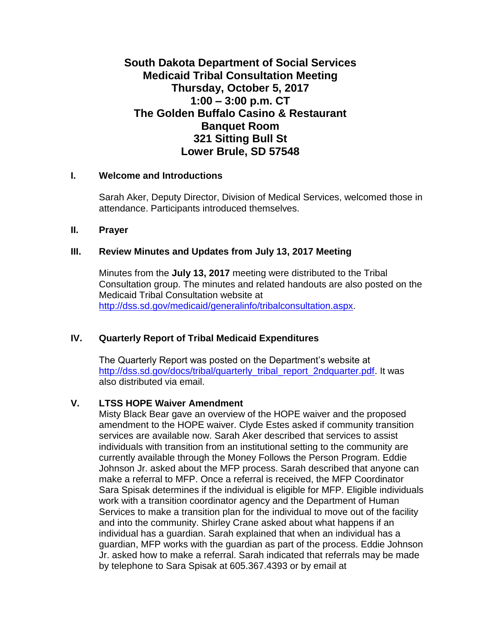# **South Dakota Department of Social Services Medicaid Tribal Consultation Meeting Thursday, October 5, 2017 1:00 – 3:00 p.m. CT The Golden Buffalo Casino & Restaurant Banquet Room 321 Sitting Bull St Lower Brule, SD 57548**

#### **I. Welcome and Introductions**

Sarah Aker, Deputy Director, Division of Medical Services, welcomed those in attendance. Participants introduced themselves.

#### **II. Prayer**

#### **III. Review Minutes and Updates from July 13, 2017 Meeting**

Minutes from the **July 13, 2017** meeting were distributed to the Tribal Consultation group. The minutes and related handouts are also posted on the Medicaid Tribal Consultation website at [http://dss.sd.gov/medicaid/generalinfo/tribalconsultation.aspx.](http://dss.sd.gov/medicaid/generalinfo/tribalconsultation.aspx)

#### **IV. Quarterly Report of Tribal Medicaid Expenditures**

The Quarterly Report was posted on the Department's website at [http://dss.sd.gov/docs/tribal/quarterly\\_tribal\\_report\\_2ndquarter.pdf.](http://dss.sd.gov/docs/tribal/quarterly_tribal_report_2ndquarter.pdf) It was also distributed via email.

#### **V. LTSS HOPE Waiver Amendment**

Misty Black Bear gave an overview of the HOPE waiver and the proposed amendment to the HOPE waiver. Clyde Estes asked if community transition services are available now. Sarah Aker described that services to assist individuals with transition from an institutional setting to the community are currently available through the Money Follows the Person Program. Eddie Johnson Jr. asked about the MFP process. Sarah described that anyone can make a referral to MFP. Once a referral is received, the MFP Coordinator Sara Spisak determines if the individual is eligible for MFP. Eligible individuals work with a transition coordinator agency and the Department of Human Services to make a transition plan for the individual to move out of the facility and into the community. Shirley Crane asked about what happens if an individual has a guardian. Sarah explained that when an individual has a guardian, MFP works with the guardian as part of the process. Eddie Johnson Jr. asked how to make a referral. Sarah indicated that referrals may be made by telephone to Sara Spisak at 605.367.4393 or by email at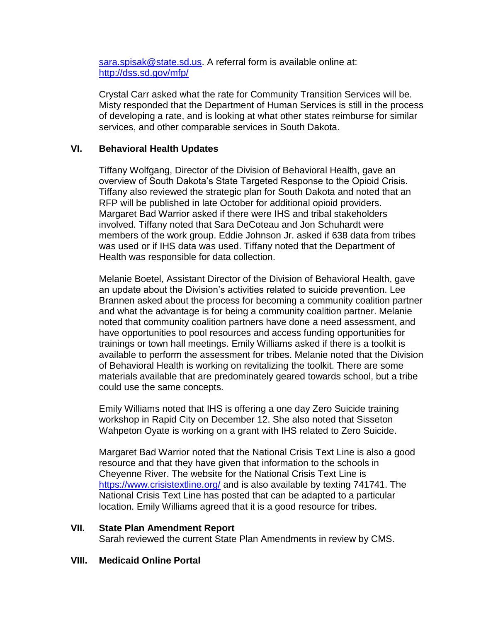[sara.spisak@state.sd.us.](mailto:sara.spisak@state.sd.us) A referral form is available online at: <http://dss.sd.gov/mfp/>

Crystal Carr asked what the rate for Community Transition Services will be. Misty responded that the Department of Human Services is still in the process of developing a rate, and is looking at what other states reimburse for similar services, and other comparable services in South Dakota.

## **VI. Behavioral Health Updates**

Tiffany Wolfgang, Director of the Division of Behavioral Health, gave an overview of South Dakota's State Targeted Response to the Opioid Crisis. Tiffany also reviewed the strategic plan for South Dakota and noted that an RFP will be published in late October for additional opioid providers. Margaret Bad Warrior asked if there were IHS and tribal stakeholders involved. Tiffany noted that Sara DeCoteau and Jon Schuhardt were members of the work group. Eddie Johnson Jr. asked if 638 data from tribes was used or if IHS data was used. Tiffany noted that the Department of Health was responsible for data collection.

Melanie Boetel, Assistant Director of the Division of Behavioral Health, gave an update about the Division's activities related to suicide prevention. Lee Brannen asked about the process for becoming a community coalition partner and what the advantage is for being a community coalition partner. Melanie noted that community coalition partners have done a need assessment, and have opportunities to pool resources and access funding opportunities for trainings or town hall meetings. Emily Williams asked if there is a toolkit is available to perform the assessment for tribes. Melanie noted that the Division of Behavioral Health is working on revitalizing the toolkit. There are some materials available that are predominately geared towards school, but a tribe could use the same concepts.

Emily Williams noted that IHS is offering a one day Zero Suicide training workshop in Rapid City on December 12. She also noted that Sisseton Wahpeton Oyate is working on a grant with IHS related to Zero Suicide.

Margaret Bad Warrior noted that the National Crisis Text Line is also a good resource and that they have given that information to the schools in Cheyenne River. The website for the National Crisis Text Line is <https://www.crisistextline.org/> and is also available by texting 741741. The National Crisis Text Line has posted that can be adapted to a particular location. Emily Williams agreed that it is a good resource for tribes.

#### **VII. State Plan Amendment Report**

Sarah reviewed the current State Plan Amendments in review by CMS.

#### **VIII. Medicaid Online Portal**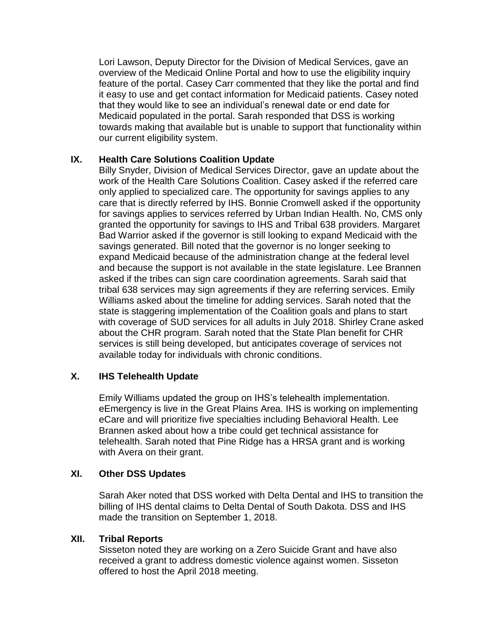Lori Lawson, Deputy Director for the Division of Medical Services, gave an overview of the Medicaid Online Portal and how to use the eligibility inquiry feature of the portal. Casey Carr commented that they like the portal and find it easy to use and get contact information for Medicaid patients. Casey noted that they would like to see an individual's renewal date or end date for Medicaid populated in the portal. Sarah responded that DSS is working towards making that available but is unable to support that functionality within our current eligibility system.

## **IX. Health Care Solutions Coalition Update**

Billy Snyder, Division of Medical Services Director, gave an update about the work of the Health Care Solutions Coalition. Casey asked if the referred care only applied to specialized care. The opportunity for savings applies to any care that is directly referred by IHS. Bonnie Cromwell asked if the opportunity for savings applies to services referred by Urban Indian Health. No, CMS only granted the opportunity for savings to IHS and Tribal 638 providers. Margaret Bad Warrior asked if the governor is still looking to expand Medicaid with the savings generated. Bill noted that the governor is no longer seeking to expand Medicaid because of the administration change at the federal level and because the support is not available in the state legislature. Lee Brannen asked if the tribes can sign care coordination agreements. Sarah said that tribal 638 services may sign agreements if they are referring services. Emily Williams asked about the timeline for adding services. Sarah noted that the state is staggering implementation of the Coalition goals and plans to start with coverage of SUD services for all adults in July 2018. Shirley Crane asked about the CHR program. Sarah noted that the State Plan benefit for CHR services is still being developed, but anticipates coverage of services not available today for individuals with chronic conditions.

## **X. IHS Telehealth Update**

Emily Williams updated the group on IHS's telehealth implementation. eEmergency is live in the Great Plains Area. IHS is working on implementing eCare and will prioritize five specialties including Behavioral Health. Lee Brannen asked about how a tribe could get technical assistance for telehealth. Sarah noted that Pine Ridge has a HRSA grant and is working with Avera on their grant.

#### **XI. Other DSS Updates**

Sarah Aker noted that DSS worked with Delta Dental and IHS to transition the billing of IHS dental claims to Delta Dental of South Dakota. DSS and IHS made the transition on September 1, 2018.

#### **XII. Tribal Reports**

Sisseton noted they are working on a Zero Suicide Grant and have also received a grant to address domestic violence against women. Sisseton offered to host the April 2018 meeting.